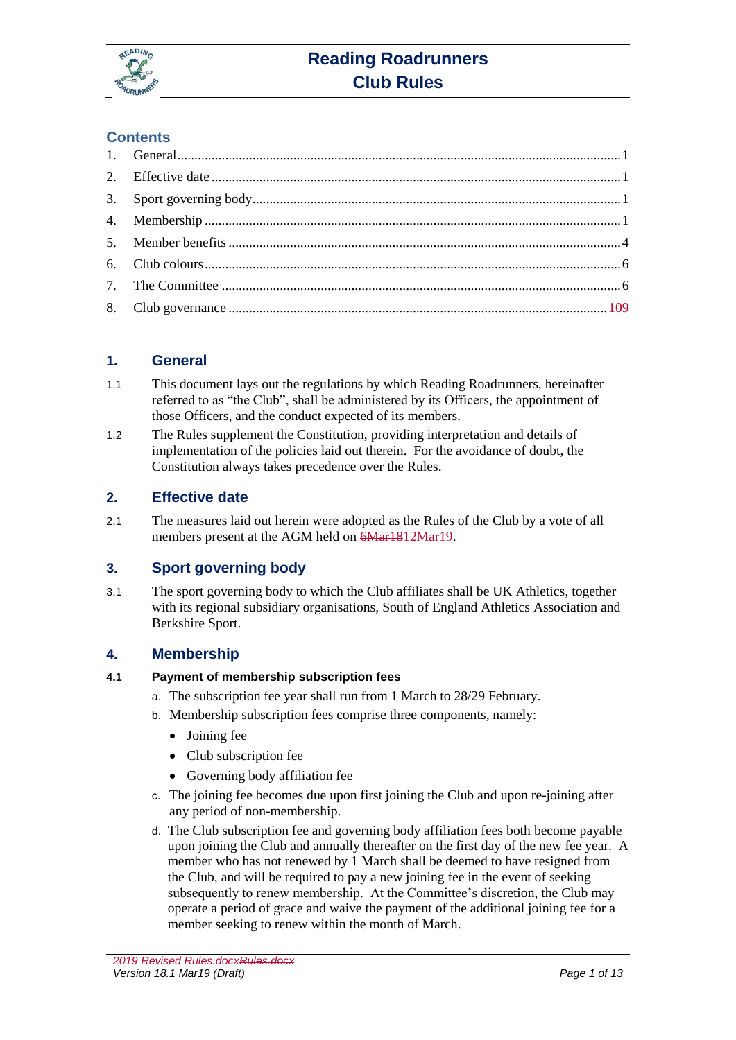

# **Reading Roadrunners Club Rules**

# **Contents**

# <span id="page-0-0"></span>**1. General**

- 1.1 This document lays out the regulations by which Reading Roadrunners, hereinafter referred to as "the Club", shall be administered by its Officers, the appointment of those Officers, and the conduct expected of its members.
- 1.2 The Rules supplement the Constitution, providing interpretation and details of implementation of the policies laid out therein. For the avoidance of doubt, the Constitution always takes precedence over the Rules.

# <span id="page-0-1"></span>**2. Effective date**

2.1 The measures laid out herein were adopted as the Rules of the Club by a vote of all members present at the AGM held on  $\frac{6Mar1812Mar19}{6Mar161}$ .

# <span id="page-0-2"></span>**3. Sport governing body**

3.1 The sport governing body to which the Club affiliates shall be UK Athletics, together with its regional subsidiary organisations, South of England Athletics Association and Berkshire Sport.

# <span id="page-0-3"></span>**4. Membership**

# **4.1 Payment of membership subscription fees**

- a. The subscription fee year shall run from 1 March to 28/29 February.
- b. Membership subscription fees comprise three components, namely:
	- Joining fee
	- Club subscription fee
	- Governing body affiliation fee
- c. The joining fee becomes due upon first joining the Club and upon re-joining after any period of non-membership.
- d. The Club subscription fee and governing body affiliation fees both become payable upon joining the Club and annually thereafter on the first day of the new fee year. A member who has not renewed by 1 March shall be deemed to have resigned from the Club, and will be required to pay a new joining fee in the event of seeking subsequently to renew membership. At the Committee's discretion, the Club may operate a period of grace and waive the payment of the additional joining fee for a member seeking to renew within the month of March.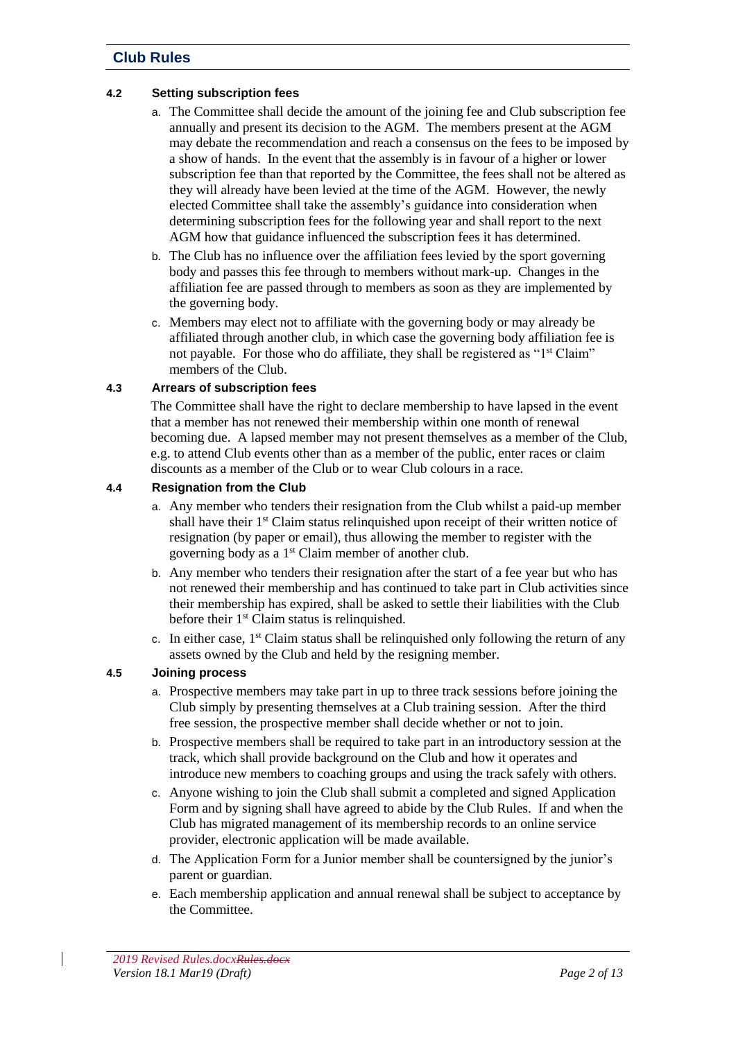### **4.2 Setting subscription fees**

- a. The Committee shall decide the amount of the joining fee and Club subscription fee annually and present its decision to the AGM. The members present at the AGM may debate the recommendation and reach a consensus on the fees to be imposed by a show of hands. In the event that the assembly is in favour of a higher or lower subscription fee than that reported by the Committee, the fees shall not be altered as they will already have been levied at the time of the AGM. However, the newly elected Committee shall take the assembly's guidance into consideration when determining subscription fees for the following year and shall report to the next AGM how that guidance influenced the subscription fees it has determined.
- b. The Club has no influence over the affiliation fees levied by the sport governing body and passes this fee through to members without mark-up. Changes in the affiliation fee are passed through to members as soon as they are implemented by the governing body.
- c. Members may elect not to affiliate with the governing body or may already be affiliated through another club, in which case the governing body affiliation fee is not payable. For those who do affiliate, they shall be registered as "1<sup>st</sup> Claim" members of the Club.

### **4.3 Arrears of subscription fees**

The Committee shall have the right to declare membership to have lapsed in the event that a member has not renewed their membership within one month of renewal becoming due. A lapsed member may not present themselves as a member of the Club, e.g. to attend Club events other than as a member of the public, enter races or claim discounts as a member of the Club or to wear Club colours in a race.

### **4.4 Resignation from the Club**

- a. Any member who tenders their resignation from the Club whilst a paid-up member shall have their  $1<sup>st</sup>$  Claim status relinquished upon receipt of their written notice of resignation (by paper or email), thus allowing the member to register with the governing body as a 1<sup>st</sup> Claim member of another club.
- b. Any member who tenders their resignation after the start of a fee year but who has not renewed their membership and has continued to take part in Club activities since their membership has expired, shall be asked to settle their liabilities with the Club before their  $1<sup>st</sup>$  Claim status is relinquished.
- c. In either case,  $1<sup>st</sup>$  Claim status shall be relinquished only following the return of any assets owned by the Club and held by the resigning member.

# <span id="page-1-0"></span>**4.5 Joining process**

- a. Prospective members may take part in up to three track sessions before joining the Club simply by presenting themselves at a Club training session. After the third free session, the prospective member shall decide whether or not to join.
- b. Prospective members shall be required to take part in an introductory session at the track, which shall provide background on the Club and how it operates and introduce new members to coaching groups and using the track safely with others.
- c. Anyone wishing to join the Club shall submit a completed and signed Application Form and by signing shall have agreed to abide by the Club Rules. If and when the Club has migrated management of its membership records to an online service provider, electronic application will be made available.
- d. The Application Form for a Junior member shall be countersigned by the junior's parent or guardian.
- e. Each membership application and annual renewal shall be subject to acceptance by the Committee.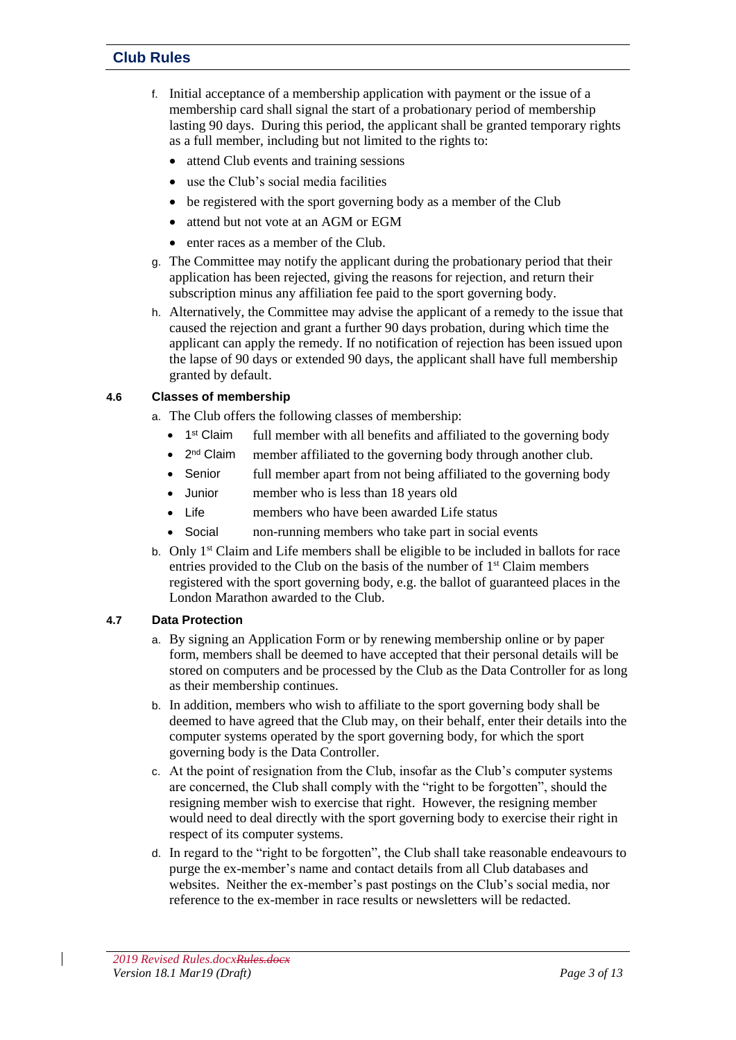- f. Initial acceptance of a membership application with payment or the issue of a membership card shall signal the start of a probationary period of membership lasting 90 days. During this period, the applicant shall be granted temporary rights as a full member, including but not limited to the rights to:
	- attend Club events and training sessions
	- use the Club's social media facilities
	- be registered with the sport governing body as a member of the Club
	- attend but not vote at an AGM or EGM
	- enter races as a member of the Club.
- g. The Committee may notify the applicant during the probationary period that their application has been rejected, giving the reasons for rejection, and return their subscription minus any affiliation fee paid to the sport governing body.
- h. Alternatively, the Committee may advise the applicant of a remedy to the issue that caused the rejection and grant a further 90 days probation, during which time the applicant can apply the remedy. If no notification of rejection has been issued upon the lapse of 90 days or extended 90 days, the applicant shall have full membership granted by default.

# **4.6 Classes of membership**

- a. The Club offers the following classes of membership:
	- $\bullet$  1<sup>st</sup> Claim full member with all benefits and affiliated to the governing body
	- $\bullet$  2<sup>nd</sup> Claim member affiliated to the governing body through another club.
	- Senior full member apart from not being affiliated to the governing body
	- Junior member who is less than 18 years old
	- Life members who have been awarded Life status
	- Social non-running members who take part in social events
- b. Only  $1<sup>st</sup> Claim and Life members shall be eligible to be included in balls for race.$ entries provided to the Club on the basis of the number of  $1<sup>st</sup>$  Claim members registered with the sport governing body, e.g. the ballot of guaranteed places in the London Marathon awarded to the Club.

#### **4.7 Data Protection**

- a. By signing an Application Form or by renewing membership online or by paper form, members shall be deemed to have accepted that their personal details will be stored on computers and be processed by the Club as the Data Controller for as long as their membership continues.
- b. In addition, members who wish to affiliate to the sport governing body shall be deemed to have agreed that the Club may, on their behalf, enter their details into the computer systems operated by the sport governing body, for which the sport governing body is the Data Controller.
- c. At the point of resignation from the Club, insofar as the Club's computer systems are concerned, the Club shall comply with the "right to be forgotten", should the resigning member wish to exercise that right. However, the resigning member would need to deal directly with the sport governing body to exercise their right in respect of its computer systems.
- d. In regard to the "right to be forgotten", the Club shall take reasonable endeavours to purge the ex-member's name and contact details from all Club databases and websites. Neither the ex-member's past postings on the Club's social media, nor reference to the ex-member in race results or newsletters will be redacted.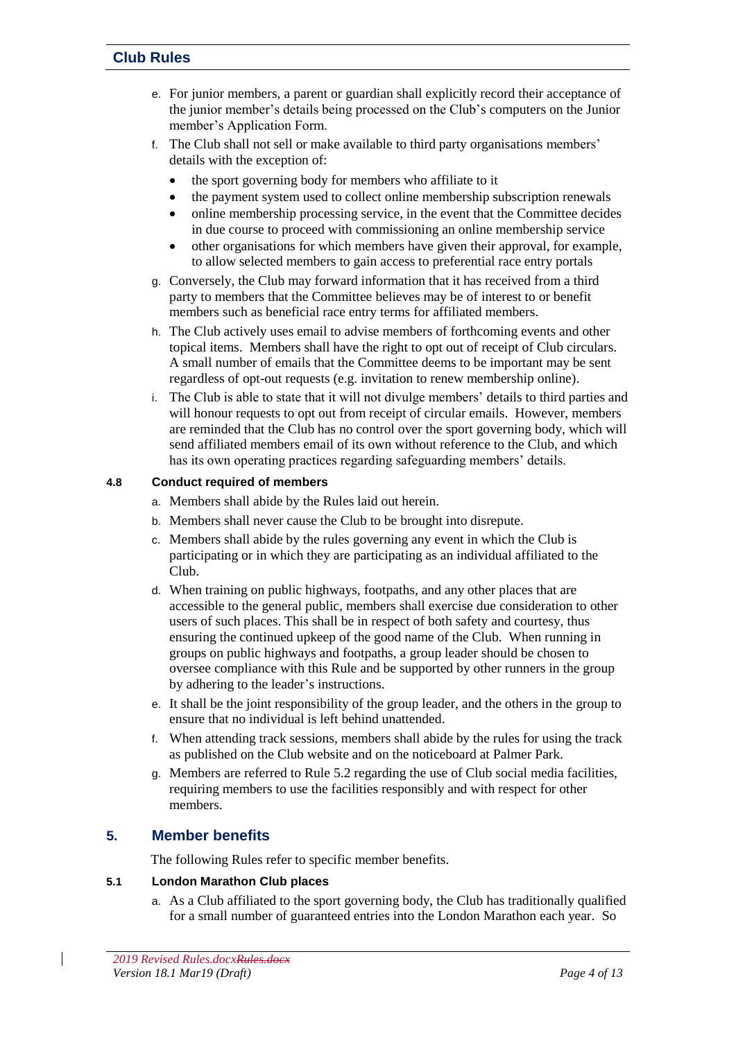- e. For junior members, a parent or guardian shall explicitly record their acceptance of the junior member's details being processed on the Club's computers on the Junior member's Application Form.
- f. The Club shall not sell or make available to third party organisations members' details with the exception of:
	- the sport governing body for members who affiliate to it
	- the payment system used to collect online membership subscription renewals
	- online membership processing service, in the event that the Committee decides in due course to proceed with commissioning an online membership service
	- other organisations for which members have given their approval, for example, to allow selected members to gain access to preferential race entry portals
- g. Conversely, the Club may forward information that it has received from a third party to members that the Committee believes may be of interest to or benefit members such as beneficial race entry terms for affiliated members.
- h. The Club actively uses email to advise members of forthcoming events and other topical items. Members shall have the right to opt out of receipt of Club circulars. A small number of emails that the Committee deems to be important may be sent regardless of opt-out requests (e.g. invitation to renew membership online).
- i. The Club is able to state that it will not divulge members' details to third parties and will honour requests to opt out from receipt of circular emails. However, members are reminded that the Club has no control over the sport governing body, which will send affiliated members email of its own without reference to the Club, and which has its own operating practices regarding safeguarding members' details.

# **4.8 Conduct required of members**

- a. Members shall abide by the Rules laid out herein.
- b. Members shall never cause the Club to be brought into disrepute.
- c. Members shall abide by the rules governing any event in which the Club is participating or in which they are participating as an individual affiliated to the Club.
- d. When training on public highways, footpaths, and any other places that are accessible to the general public, members shall exercise due consideration to other users of such places. This shall be in respect of both safety and courtesy, thus ensuring the continued upkeep of the good name of the Club. When running in groups on public highways and footpaths, a group leader should be chosen to oversee compliance with this Rule and be supported by other runners in the group by adhering to the leader's instructions.
- e. It shall be the joint responsibility of the group leader, and the others in the group to ensure that no individual is left behind unattended.
- f. When attending track sessions, members shall abide by the rules for using the track as published on the Club website and on the noticeboard at Palmer Park.
- g. Members are referred to Rule [5.2](#page-4-0) regarding the use of Club social media facilities, requiring members to use the facilities responsibly and with respect for other members.

# <span id="page-3-0"></span>**5. Member benefits**

The following Rules refer to specific member benefits.

# **5.1 London Marathon Club places**

a. As a Club affiliated to the sport governing body, the Club has traditionally qualified for a small number of guaranteed entries into the London Marathon each year. So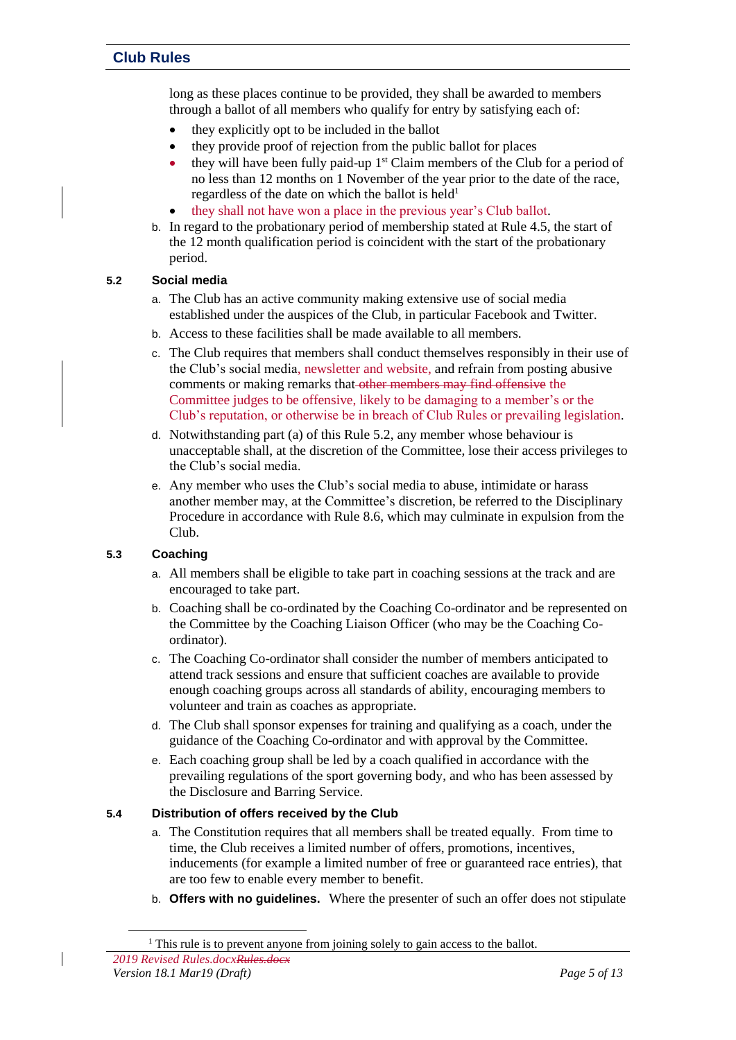long as these places continue to be provided, they shall be awarded to members through a ballot of all members who qualify for entry by satisfying each of:

- they explicitly opt to be included in the ballot
- they provide proof of rejection from the public ballot for places
- $\bullet$  they will have been fully paid-up  $1<sup>st</sup>$  Claim members of the Club for a period of no less than 12 months on 1 November of the year prior to the date of the race, regardless of the date on which the ballot is held<sup>1</sup>
- they shall not have won a place in the previous year's Club ballot.
- b. In regard to the probationary period of membership stated at Rule [4.5,](#page-1-0) the start of the 12 month qualification period is coincident with the start of the probationary period.

### <span id="page-4-0"></span>**5.2 Social media**

- a. The Club has an active community making extensive use of social media established under the auspices of the Club, in particular Facebook and Twitter.
- b. Access to these facilities shall be made available to all members.
- c. The Club requires that members shall conduct themselves responsibly in their use of the Club's social media, newsletter and website, and refrain from posting abusive comments or making remarks that other members may find offensive the Committee judges to be offensive, likely to be damaging to a member's or the Club's reputation, or otherwise be in breach of Club Rules or prevailing legislation.
- d. Notwithstanding part (a) of this Rule [5.2,](#page-4-0) any member whose behaviour is unacceptable shall, at the discretion of the Committee, lose their access privileges to the Club's social media.
- e. Any member who uses the Club's social media to abuse, intimidate or harass another member may, at the Committee's discretion, be referred to the Disciplinary Procedure in accordance with Rul[e 8.6,](#page-10-0) which may culminate in expulsion from the Club.

# **5.3 Coaching**

l

- a. All members shall be eligible to take part in coaching sessions at the track and are encouraged to take part.
- b. Coaching shall be co-ordinated by the Coaching Co-ordinator and be represented on the Committee by the Coaching Liaison Officer (who may be the Coaching Coordinator).
- c. The Coaching Co-ordinator shall consider the number of members anticipated to attend track sessions and ensure that sufficient coaches are available to provide enough coaching groups across all standards of ability, encouraging members to volunteer and train as coaches as appropriate.
- d. The Club shall sponsor expenses for training and qualifying as a coach, under the guidance of the Coaching Co-ordinator and with approval by the Committee.
- e. Each coaching group shall be led by a coach qualified in accordance with the prevailing regulations of the sport governing body, and who has been assessed by the Disclosure and Barring Service.

#### **5.4 Distribution of offers received by the Club**

- a. The Constitution requires that all members shall be treated equally. From time to time, the Club receives a limited number of offers, promotions, incentives, inducements (for example a limited number of free or guaranteed race entries), that are too few to enable every member to benefit.
- b. **Offers with no guidelines.** Where the presenter of such an offer does not stipulate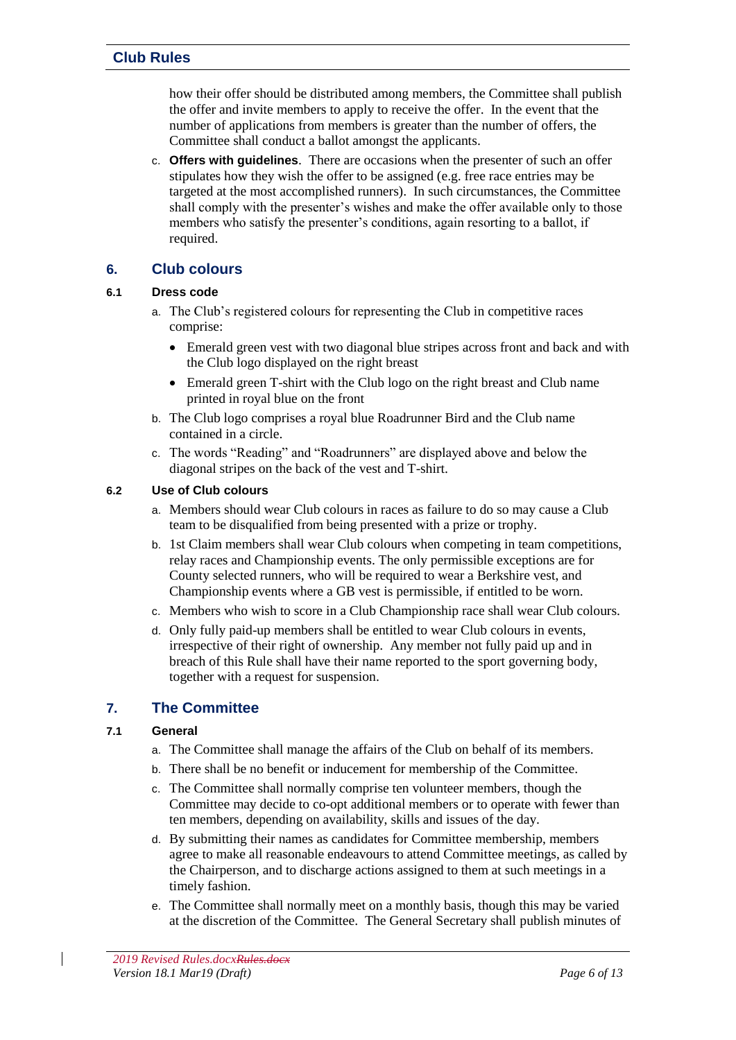how their offer should be distributed among members, the Committee shall publish the offer and invite members to apply to receive the offer. In the event that the number of applications from members is greater than the number of offers, the Committee shall conduct a ballot amongst the applicants.

c. **Offers with guidelines**. There are occasions when the presenter of such an offer stipulates how they wish the offer to be assigned (e.g. free race entries may be targeted at the most accomplished runners). In such circumstances, the Committee shall comply with the presenter's wishes and make the offer available only to those members who satisfy the presenter's conditions, again resorting to a ballot, if required.

# <span id="page-5-0"></span>**6. Club colours**

### **6.1 Dress code**

- a. The Club's registered colours for representing the Club in competitive races comprise:
	- Emerald green vest with two diagonal blue stripes across front and back and with the Club logo displayed on the right breast
	- Emerald green T-shirt with the Club logo on the right breast and Club name printed in royal blue on the front
- b. The Club logo comprises a royal blue Roadrunner Bird and the Club name contained in a circle.
- c. The words "Reading" and "Roadrunners" are displayed above and below the diagonal stripes on the back of the vest and T-shirt.

### **6.2 Use of Club colours**

- a. Members should wear Club colours in races as failure to do so may cause a Club team to be disqualified from being presented with a prize or trophy.
- b. 1st Claim members shall wear Club colours when competing in team competitions, relay races and Championship events. The only permissible exceptions are for County selected runners, who will be required to wear a Berkshire vest, and Championship events where a GB vest is permissible, if entitled to be worn.
- c. Members who wish to score in a Club Championship race shall wear Club colours.
- d. Only fully paid-up members shall be entitled to wear Club colours in events, irrespective of their right of ownership. Any member not fully paid up and in breach of this Rule shall have their name reported to the sport governing body, together with a request for suspension.

# <span id="page-5-1"></span>**7. The Committee**

# **7.1 General**

- a. The Committee shall manage the affairs of the Club on behalf of its members.
- b. There shall be no benefit or inducement for membership of the Committee.
- c. The Committee shall normally comprise ten volunteer members, though the Committee may decide to co-opt additional members or to operate with fewer than ten members, depending on availability, skills and issues of the day.
- d. By submitting their names as candidates for Committee membership, members agree to make all reasonable endeavours to attend Committee meetings, as called by the Chairperson, and to discharge actions assigned to them at such meetings in a timely fashion.
- e. The Committee shall normally meet on a monthly basis, though this may be varied at the discretion of the Committee. The General Secretary shall publish minutes of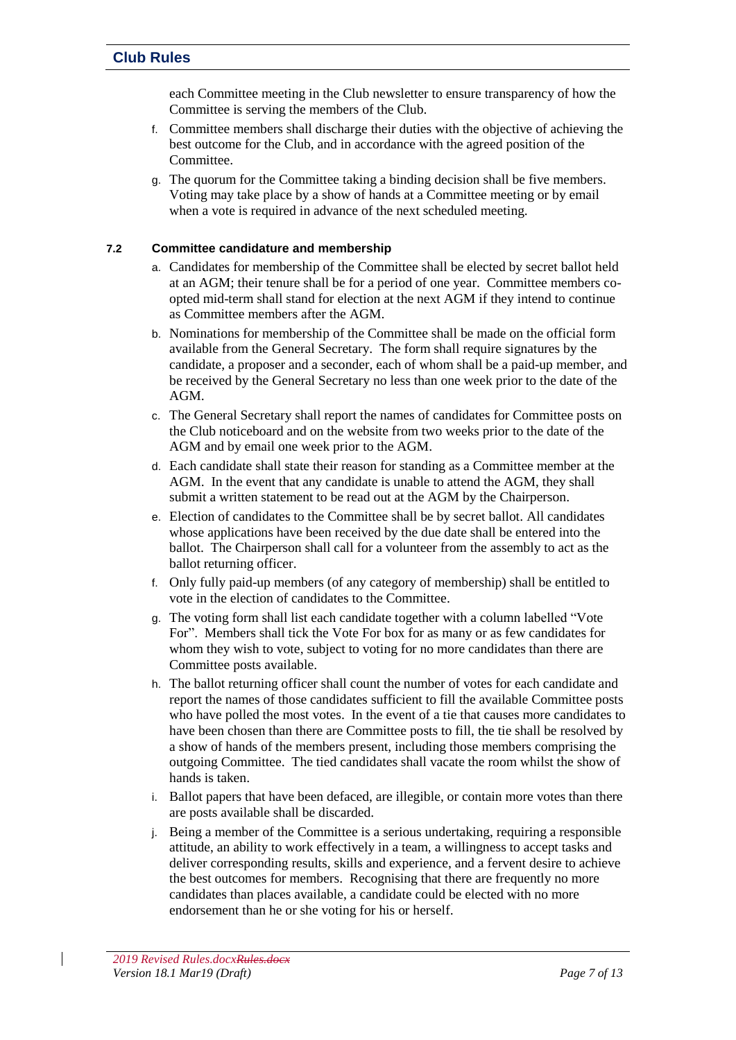each Committee meeting in the Club newsletter to ensure transparency of how the Committee is serving the members of the Club.

- f. Committee members shall discharge their duties with the objective of achieving the best outcome for the Club, and in accordance with the agreed position of the Committee.
- g. The quorum for the Committee taking a binding decision shall be five members. Voting may take place by a show of hands at a Committee meeting or by email when a vote is required in advance of the next scheduled meeting.

### **7.2 Committee candidature and membership**

- a. Candidates for membership of the Committee shall be elected by secret ballot held at an AGM; their tenure shall be for a period of one year. Committee members coopted mid-term shall stand for election at the next AGM if they intend to continue as Committee members after the AGM.
- b. Nominations for membership of the Committee shall be made on the official form available from the General Secretary. The form shall require signatures by the candidate, a proposer and a seconder, each of whom shall be a paid-up member, and be received by the General Secretary no less than one week prior to the date of the AGM.
- c. The General Secretary shall report the names of candidates for Committee posts on the Club noticeboard and on the website from two weeks prior to the date of the AGM and by email one week prior to the AGM.
- d. Each candidate shall state their reason for standing as a Committee member at the AGM. In the event that any candidate is unable to attend the AGM, they shall submit a written statement to be read out at the AGM by the Chairperson.
- e. Election of candidates to the Committee shall be by secret ballot. All candidates whose applications have been received by the due date shall be entered into the ballot. The Chairperson shall call for a volunteer from the assembly to act as the ballot returning officer.
- f. Only fully paid-up members (of any category of membership) shall be entitled to vote in the election of candidates to the Committee.
- g. The voting form shall list each candidate together with a column labelled "Vote For". Members shall tick the Vote For box for as many or as few candidates for whom they wish to vote, subject to voting for no more candidates than there are Committee posts available.
- h. The ballot returning officer shall count the number of votes for each candidate and report the names of those candidates sufficient to fill the available Committee posts who have polled the most votes. In the event of a tie that causes more candidates to have been chosen than there are Committee posts to fill, the tie shall be resolved by a show of hands of the members present, including those members comprising the outgoing Committee. The tied candidates shall vacate the room whilst the show of hands is taken.
- i. Ballot papers that have been defaced, are illegible, or contain more votes than there are posts available shall be discarded.
- j. Being a member of the Committee is a serious undertaking, requiring a responsible attitude, an ability to work effectively in a team, a willingness to accept tasks and deliver corresponding results, skills and experience, and a fervent desire to achieve the best outcomes for members. Recognising that there are frequently no more candidates than places available, a candidate could be elected with no more endorsement than he or she voting for his or herself.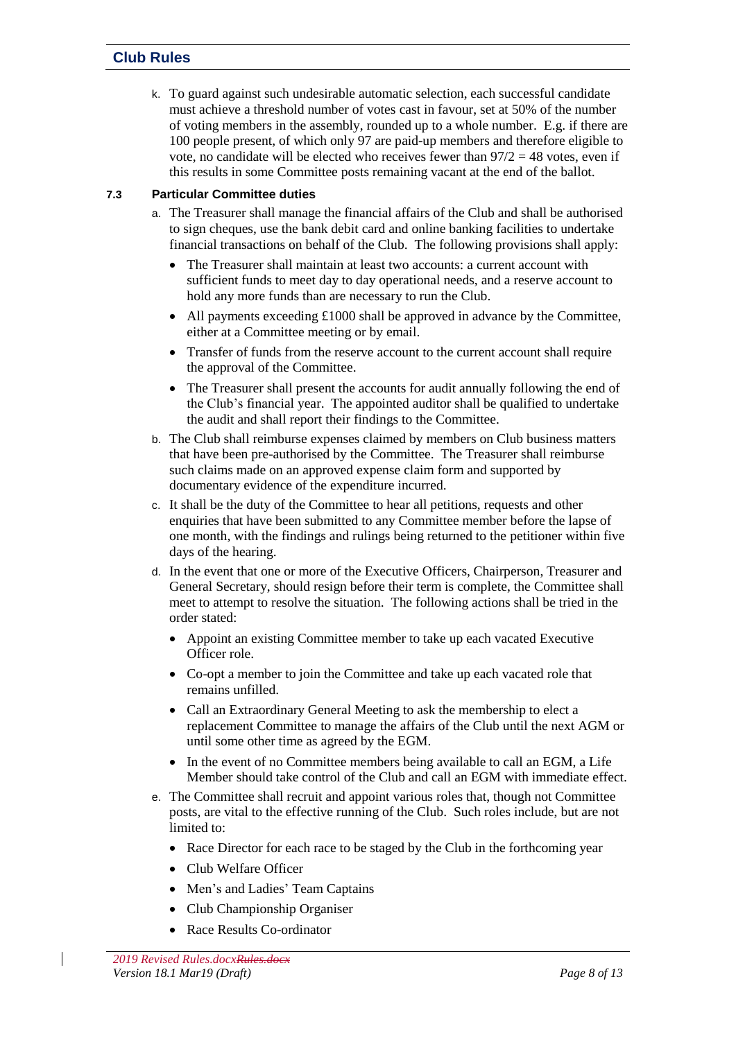k. To guard against such undesirable automatic selection, each successful candidate must achieve a threshold number of votes cast in favour, set at 50% of the number of voting members in the assembly, rounded up to a whole number. E.g. if there are 100 people present, of which only 97 are paid-up members and therefore eligible to vote, no candidate will be elected who receives fewer than  $97/2 = 48$  votes, even if this results in some Committee posts remaining vacant at the end of the ballot.

# **7.3 Particular Committee duties**

- a. The Treasurer shall manage the financial affairs of the Club and shall be authorised to sign cheques, use the bank debit card and online banking facilities to undertake financial transactions on behalf of the Club. The following provisions shall apply:
	- The Treasurer shall maintain at least two accounts: a current account with sufficient funds to meet day to day operational needs, and a reserve account to hold any more funds than are necessary to run the Club.
	- All payments exceeding £1000 shall be approved in advance by the Committee, either at a Committee meeting or by email.
	- Transfer of funds from the reserve account to the current account shall require the approval of the Committee.
	- The Treasurer shall present the accounts for audit annually following the end of the Club's financial year. The appointed auditor shall be qualified to undertake the audit and shall report their findings to the Committee.
- b. The Club shall reimburse expenses claimed by members on Club business matters that have been pre-authorised by the Committee. The Treasurer shall reimburse such claims made on an approved expense claim form and supported by documentary evidence of the expenditure incurred.
- c. It shall be the duty of the Committee to hear all petitions, requests and other enquiries that have been submitted to any Committee member before the lapse of one month, with the findings and rulings being returned to the petitioner within five days of the hearing.
- d. In the event that one or more of the Executive Officers, Chairperson, Treasurer and General Secretary, should resign before their term is complete, the Committee shall meet to attempt to resolve the situation. The following actions shall be tried in the order stated:
	- Appoint an existing Committee member to take up each vacated Executive Officer role.
	- Co-opt a member to join the Committee and take up each vacated role that remains unfilled.
	- Call an Extraordinary General Meeting to ask the membership to elect a replacement Committee to manage the affairs of the Club until the next AGM or until some other time as agreed by the EGM.
	- In the event of no Committee members being available to call an EGM, a Life Member should take control of the Club and call an EGM with immediate effect.
- e. The Committee shall recruit and appoint various roles that, though not Committee posts, are vital to the effective running of the Club. Such roles include, but are not limited to:
	- Race Director for each race to be staged by the Club in the forthcoming year
	- Club Welfare Officer
	- Men's and Ladies' Team Captains
	- Club Championship Organiser
	- Race Results Co-ordinator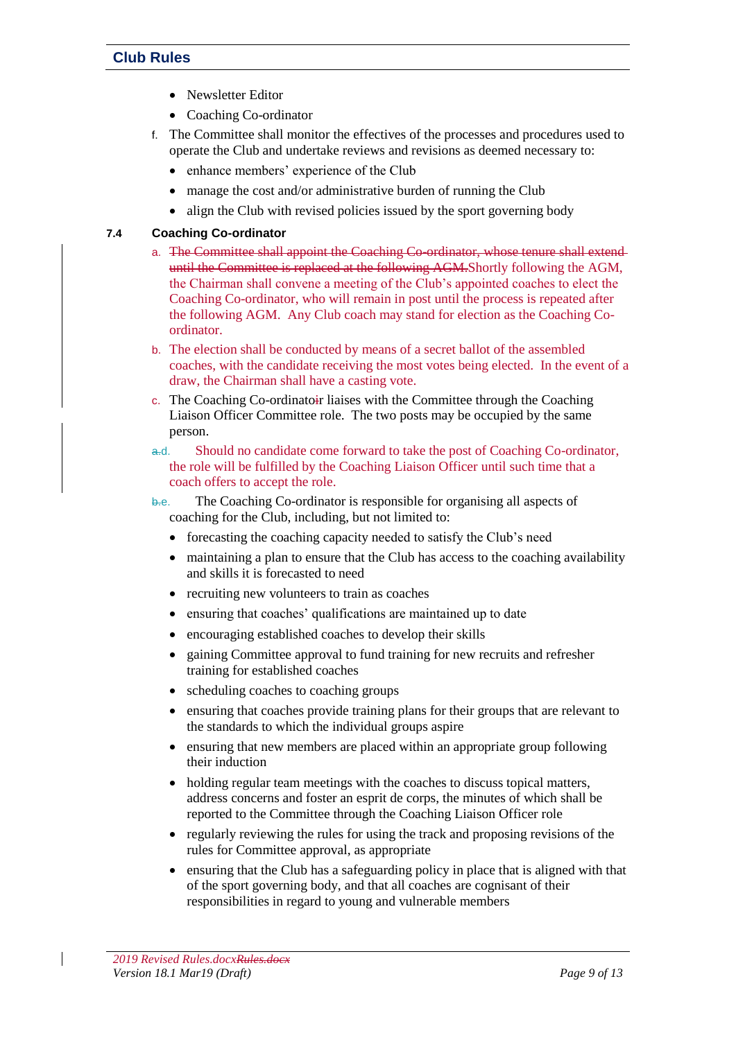- Newsletter Editor
- Coaching Co-ordinator
- f. The Committee shall monitor the effectives of the processes and procedures used to operate the Club and undertake reviews and revisions as deemed necessary to:
	- enhance members' experience of the Club
	- manage the cost and/or administrative burden of running the Club
	- align the Club with revised policies issued by the sport governing body

### **7.4 Coaching Co-ordinator**

- a. The Committee shall appoint the Coaching Co-ordinator, whose tenure shall extend until the Committee is replaced at the following AGM.Shortly following the AGM, the Chairman shall convene a meeting of the Club's appointed coaches to elect the Coaching Co-ordinator, who will remain in post until the process is repeated after the following AGM. Any Club coach may stand for election as the Coaching Coordinator.
- b. The election shall be conducted by means of a secret ballot of the assembled coaches, with the candidate receiving the most votes being elected. In the event of a draw, the Chairman shall have a casting vote.
- c. The Coaching Co-ordinatoir liaises with the Committee through the Coaching Liaison Officer Committee role. The two posts may be occupied by the same person.
- a.d. Should no candidate come forward to take the post of Coaching Co-ordinator, the role will be fulfilled by the Coaching Liaison Officer until such time that a coach offers to accept the role.
- b.e. The Coaching Co-ordinator is responsible for organising all aspects of coaching for the Club, including, but not limited to:
	- forecasting the coaching capacity needed to satisfy the Club's need
	- maintaining a plan to ensure that the Club has access to the coaching availability and skills it is forecasted to need
	- recruiting new volunteers to train as coaches
	- ensuring that coaches' qualifications are maintained up to date
	- encouraging established coaches to develop their skills
	- gaining Committee approval to fund training for new recruits and refresher training for established coaches
	- scheduling coaches to coaching groups
	- ensuring that coaches provide training plans for their groups that are relevant to the standards to which the individual groups aspire
	- ensuring that new members are placed within an appropriate group following their induction
	- holding regular team meetings with the coaches to discuss topical matters, address concerns and foster an esprit de corps, the minutes of which shall be reported to the Committee through the Coaching Liaison Officer role
	- regularly reviewing the rules for using the track and proposing revisions of the rules for Committee approval, as appropriate
	- ensuring that the Club has a safeguarding policy in place that is aligned with that of the sport governing body, and that all coaches are cognisant of their responsibilities in regard to young and vulnerable members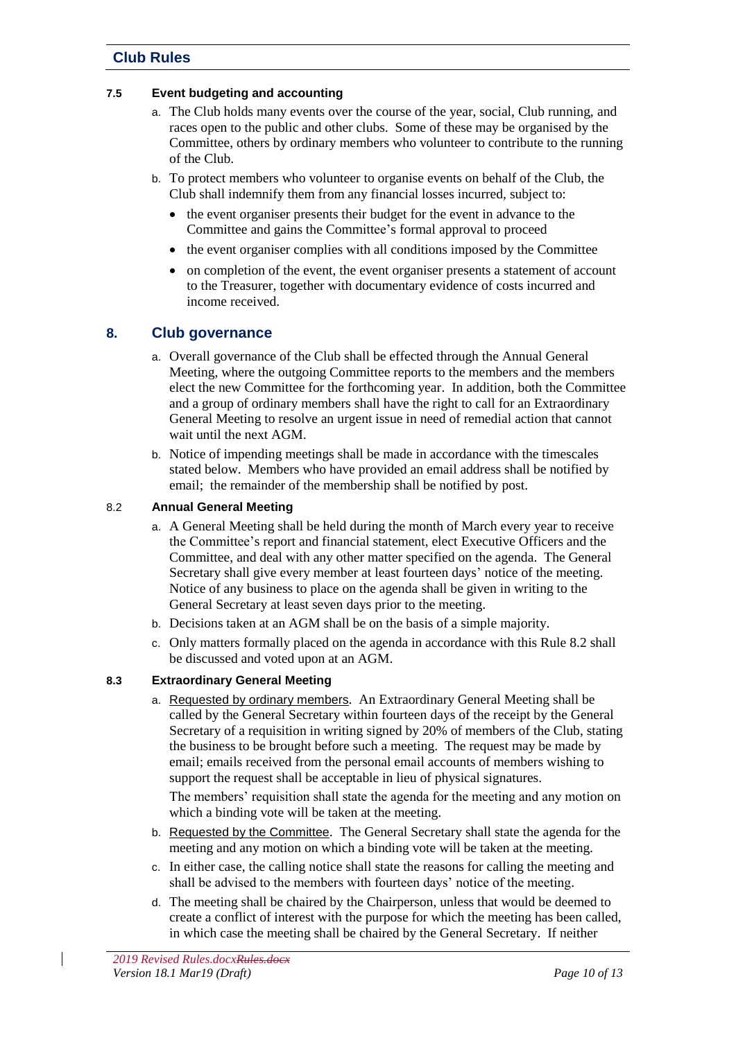#### **7.5 Event budgeting and accounting**

- a. The Club holds many events over the course of the year, social, Club running, and races open to the public and other clubs. Some of these may be organised by the Committee, others by ordinary members who volunteer to contribute to the running of the Club.
- b. To protect members who volunteer to organise events on behalf of the Club, the Club shall indemnify them from any financial losses incurred, subject to:
	- the event organiser presents their budget for the event in advance to the Committee and gains the Committee's formal approval to proceed
	- the event organiser complies with all conditions imposed by the Committee
	- on completion of the event, the event organiser presents a statement of account to the Treasurer, together with documentary evidence of costs incurred and income received.

# <span id="page-9-0"></span>**8. Club governance**

- a. Overall governance of the Club shall be effected through the Annual General Meeting, where the outgoing Committee reports to the members and the members elect the new Committee for the forthcoming year. In addition, both the Committee and a group of ordinary members shall have the right to call for an Extraordinary General Meeting to resolve an urgent issue in need of remedial action that cannot wait until the next AGM.
- b. Notice of impending meetings shall be made in accordance with the timescales stated below. Members who have provided an email address shall be notified by email; the remainder of the membership shall be notified by post.

### <span id="page-9-1"></span>8.2 **Annual General Meeting**

- a. A General Meeting shall be held during the month of March every year to receive the Committee's report and financial statement, elect Executive Officers and the Committee, and deal with any other matter specified on the agenda. The General Secretary shall give every member at least fourteen days' notice of the meeting. Notice of any business to place on the agenda shall be given in writing to the General Secretary at least seven days prior to the meeting.
- b. Decisions taken at an AGM shall be on the basis of a simple majority.
- c. Only matters formally placed on the agenda in accordance with this Rule [8.2](#page-9-1) shall be discussed and voted upon at an AGM.

#### **8.3 Extraordinary General Meeting**

a. Requested by ordinary members. An Extraordinary General Meeting shall be called by the General Secretary within fourteen days of the receipt by the General Secretary of a requisition in writing signed by 20% of members of the Club, stating the business to be brought before such a meeting. The request may be made by email; emails received from the personal email accounts of members wishing to support the request shall be acceptable in lieu of physical signatures.

The members' requisition shall state the agenda for the meeting and any motion on which a binding vote will be taken at the meeting.

- b. Requested by the Committee. The General Secretary shall state the agenda for the meeting and any motion on which a binding vote will be taken at the meeting.
- c. In either case, the calling notice shall state the reasons for calling the meeting and shall be advised to the members with fourteen days' notice of the meeting.
- d. The meeting shall be chaired by the Chairperson, unless that would be deemed to create a conflict of interest with the purpose for which the meeting has been called, in which case the meeting shall be chaired by the General Secretary. If neither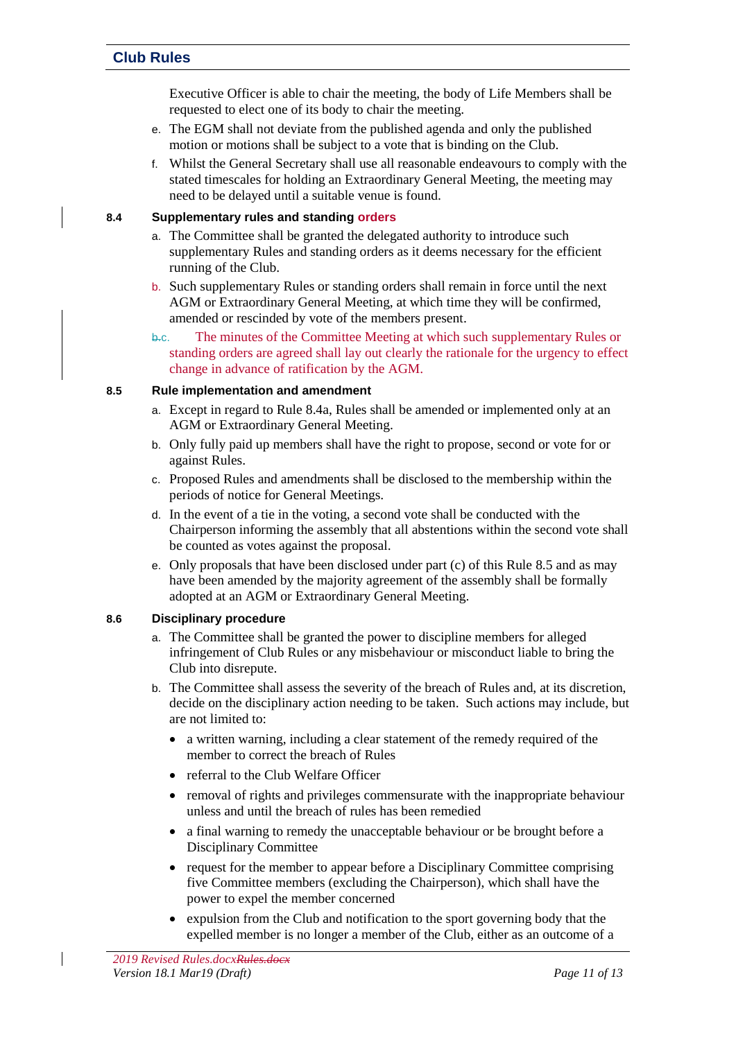Executive Officer is able to chair the meeting, the body of Life Members shall be requested to elect one of its body to chair the meeting.

- e. The EGM shall not deviate from the published agenda and only the published motion or motions shall be subject to a vote that is binding on the Club.
- f. Whilst the General Secretary shall use all reasonable endeavours to comply with the stated timescales for holding an Extraordinary General Meeting, the meeting may need to be delayed until a suitable venue is found.

#### <span id="page-10-1"></span>**8.4 Supplementary rules and standing orders**

- a. The Committee shall be granted the delegated authority to introduce such supplementary Rules and standing orders as it deems necessary for the efficient running of the Club.
- b. Such supplementary Rules or standing orders shall remain in force until the next AGM or Extraordinary General Meeting, at which time they will be confirmed, amended or rescinded by vote of the members present.
- b.c. The minutes of the Committee Meeting at which such supplementary Rules or standing orders are agreed shall lay out clearly the rationale for the urgency to effect change in advance of ratification by the AGM.

#### <span id="page-10-2"></span>**8.5 Rule implementation and amendment**

- a. Except in regard to Rule [8.4a,](#page-10-1) Rules shall be amended or implemented only at an AGM or Extraordinary General Meeting.
- b. Only fully paid up members shall have the right to propose, second or vote for or against Rules.
- c. Proposed Rules and amendments shall be disclosed to the membership within the periods of notice for General Meetings.
- d. In the event of a tie in the voting, a second vote shall be conducted with the Chairperson informing the assembly that all abstentions within the second vote shall be counted as votes against the proposal.
- e. Only proposals that have been disclosed under part (c) of this Rule [8.5](#page-10-2) and as may have been amended by the majority agreement of the assembly shall be formally adopted at an AGM or Extraordinary General Meeting.

#### <span id="page-10-0"></span>**8.6 Disciplinary procedure**

- a. The Committee shall be granted the power to discipline members for alleged infringement of Club Rules or any misbehaviour or misconduct liable to bring the Club into disrepute.
- b. The Committee shall assess the severity of the breach of Rules and, at its discretion, decide on the disciplinary action needing to be taken. Such actions may include, but are not limited to:
	- a written warning, including a clear statement of the remedy required of the member to correct the breach of Rules
	- referral to the Club Welfare Officer
	- removal of rights and privileges commensurate with the inappropriate behaviour unless and until the breach of rules has been remedied
	- a final warning to remedy the unacceptable behaviour or be brought before a Disciplinary Committee
	- request for the member to appear before a Disciplinary Committee comprising five Committee members (excluding the Chairperson), which shall have the power to expel the member concerned
	- expulsion from the Club and notification to the sport governing body that the expelled member is no longer a member of the Club, either as an outcome of a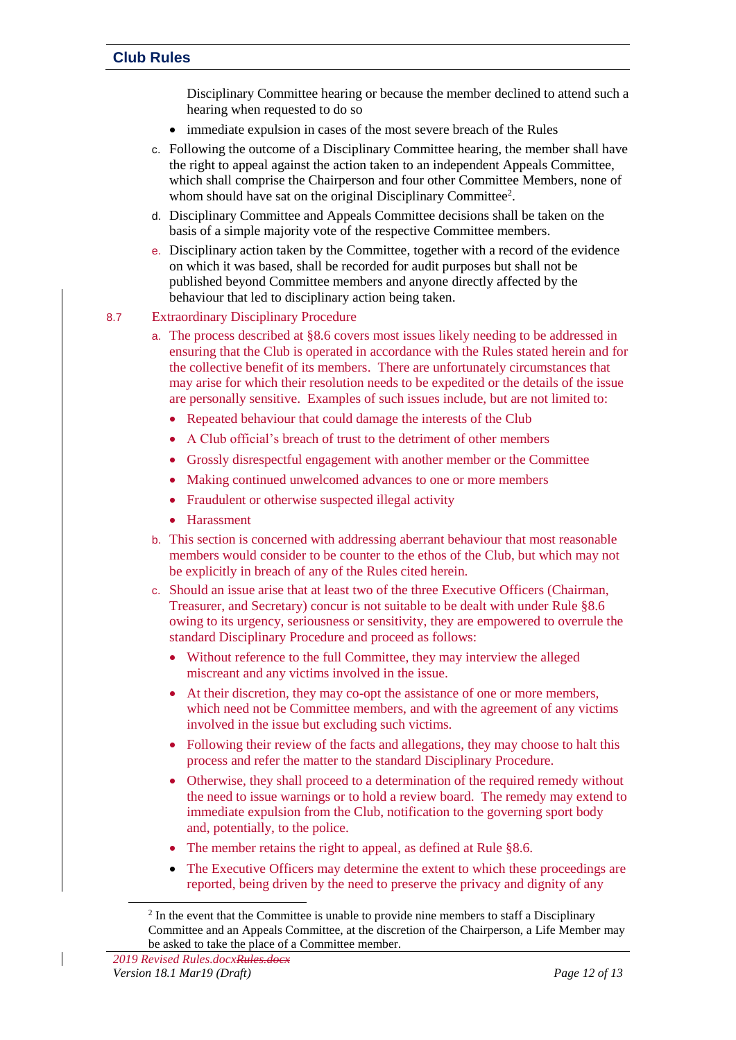Disciplinary Committee hearing or because the member declined to attend such a hearing when requested to do so

- immediate expulsion in cases of the most severe breach of the Rules
- c. Following the outcome of a Disciplinary Committee hearing, the member shall have the right to appeal against the action taken to an independent Appeals Committee, which shall comprise the Chairperson and four other Committee Members, none of whom should have sat on the original Disciplinary Committee<sup>2</sup>.
- d. Disciplinary Committee and Appeals Committee decisions shall be taken on the basis of a simple majority vote of the respective Committee members.
- e. Disciplinary action taken by the Committee, together with a record of the evidence on which it was based, shall be recorded for audit purposes but shall not be published beyond Committee members and anyone directly affected by the behaviour that led to disciplinary action being taken.

### 8.7 Extraordinary Disciplinary Procedure

- a. The process described at [§8.6](#page-10-0) covers most issues likely needing to be addressed in ensuring that the Club is operated in accordance with the Rules stated herein and for the collective benefit of its members. There are unfortunately circumstances that may arise for which their resolution needs to be expedited or the details of the issue are personally sensitive. Examples of such issues include, but are not limited to:
	- Repeated behaviour that could damage the interests of the Club
	- A Club official's breach of trust to the detriment of other members
	- Grossly disrespectful engagement with another member or the Committee
	- Making continued unwelcomed advances to one or more members
	- Fraudulent or otherwise suspected illegal activity
	- Harassment
- b. This section is concerned with addressing aberrant behaviour that most reasonable members would consider to be counter to the ethos of the Club, but which may not be explicitly in breach of any of the Rules cited herein.
- c. Should an issue arise that at least two of the three Executive Officers (Chairman, Treasurer, and Secretary) concur is not suitable to be dealt with under Rule [§8.6](#page-10-0) owing to its urgency, seriousness or sensitivity, they are empowered to overrule the standard Disciplinary Procedure and proceed as follows:
	- Without reference to the full Committee, they may interview the alleged miscreant and any victims involved in the issue.
	- At their discretion, they may co-opt the assistance of one or more members, which need not be Committee members, and with the agreement of any victims involved in the issue but excluding such victims.
	- Following their review of the facts and allegations, they may choose to halt this process and refer the matter to the standard Disciplinary Procedure.
	- Otherwise, they shall proceed to a determination of the required remedy without the need to issue warnings or to hold a review board. The remedy may extend to immediate expulsion from the Club, notification to the governing sport body and, potentially, to the police.
	- The member retains the right to appeal, as defined at Rule [§8.6.](#page-10-0)
	- The Executive Officers may determine the extent to which these proceedings are reported, being driven by the need to preserve the privacy and dignity of any

 $\overline{a}$ 

 $2 \text{ In the event that the Committee is unable to provide nine members to staff a Disciplinary.}$ Committee and an Appeals Committee, at the discretion of the Chairperson, a Life Member may be asked to take the place of a Committee member.